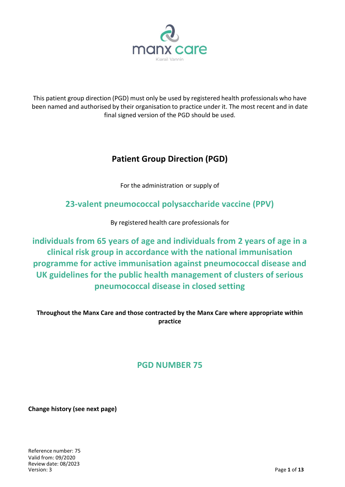

This patient group direction (PGD) must only be used by registered health professionals who have been named and authorised by their organisation to practice under it. The most recent and in date final signed version of the PGD should be used.

# **Patient Group Direction (PGD)**

For the administration or supply of

**23-valent pneumococcal polysaccharide vaccine (PPV)**

By registered health care professionals for

**individuals from 65 years of age and individuals from 2 years of age in a clinical risk group in accordance with the national immunisation programme for active immunisation against pneumococcal disease and UK guidelines for the public health management of clusters of serious pneumococcal disease in closed setting**

**Throughout the Manx Care and those contracted by the Manx Care where appropriate within practice**

# **PGD NUMBER 75**

**Change history (see next page)**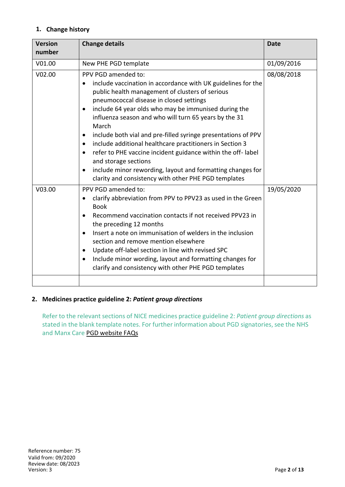# **1. Change history**

| <b>Version</b><br>number | <b>Change details</b>                                                                                                                                                                                                                                                                                                                                                                                                                                                                                                                                                                                                                                                                                                  | <b>Date</b> |
|--------------------------|------------------------------------------------------------------------------------------------------------------------------------------------------------------------------------------------------------------------------------------------------------------------------------------------------------------------------------------------------------------------------------------------------------------------------------------------------------------------------------------------------------------------------------------------------------------------------------------------------------------------------------------------------------------------------------------------------------------------|-------------|
| V01.00                   | New PHE PGD template                                                                                                                                                                                                                                                                                                                                                                                                                                                                                                                                                                                                                                                                                                   | 01/09/2016  |
| V02.00                   | PPV PGD amended to:<br>include vaccination in accordance with UK guidelines for the<br>public health management of clusters of serious<br>pneumococcal disease in closed settings<br>include 64 year olds who may be immunised during the<br>$\bullet$<br>influenza season and who will turn 65 years by the 31<br>March<br>include both vial and pre-filled syringe presentations of PPV<br>$\bullet$<br>include additional healthcare practitioners in Section 3<br>$\bullet$<br>refer to PHE vaccine incident guidance within the off-label<br>$\bullet$<br>and storage sections<br>include minor rewording, layout and formatting changes for<br>$\bullet$<br>clarity and consistency with other PHE PGD templates | 08/08/2018  |
| V03.00                   | PPV PGD amended to:<br>clarify abbreviation from PPV to PPV23 as used in the Green<br>$\bullet$<br><b>Book</b><br>Recommend vaccination contacts if not received PPV23 in<br>$\bullet$<br>the preceding 12 months<br>Insert a note on immunisation of welders in the inclusion<br>$\bullet$<br>section and remove mention elsewhere<br>Update off-label section in line with revised SPC<br>$\bullet$<br>Include minor wording, layout and formatting changes for<br>$\bullet$<br>clarify and consistency with other PHE PGD templates                                                                                                                                                                                 | 19/05/2020  |
|                          |                                                                                                                                                                                                                                                                                                                                                                                                                                                                                                                                                                                                                                                                                                                        |             |

# **2. Medicines practice guideline 2:** *Patient group directions*

Refer to the relevant sections of NICE medicines practice guideline 2: *Patient group directions* as stated in the blank template notes. For further information about PGD signatories, see the NHS and Manx Care PGD website FAQs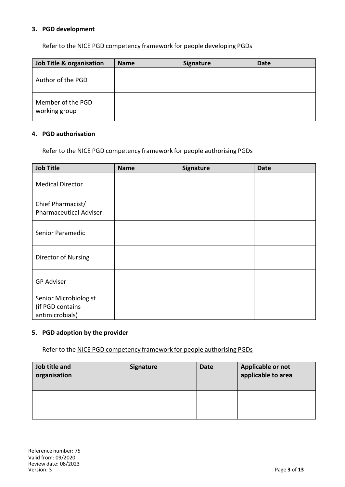#### **3. PGD development**

Refer to the NICE PGD competency framework for people developing PGDs

| Job Title & organisation           | <b>Name</b> | <b>Signature</b> | <b>Date</b> |
|------------------------------------|-------------|------------------|-------------|
| Author of the PGD                  |             |                  |             |
| Member of the PGD<br>working group |             |                  |             |

#### **4. PGD authorisation**

Refer to the NICE PGD competency framework for people authorising PGDs

| <b>Job Title</b>                                             | <b>Name</b> | Signature | <b>Date</b> |
|--------------------------------------------------------------|-------------|-----------|-------------|
| <b>Medical Director</b>                                      |             |           |             |
| Chief Pharmacist/<br><b>Pharmaceutical Adviser</b>           |             |           |             |
| Senior Paramedic                                             |             |           |             |
| Director of Nursing                                          |             |           |             |
| <b>GP Adviser</b>                                            |             |           |             |
| Senior Microbiologist<br>(if PGD contains<br>antimicrobials) |             |           |             |

#### **5. PGD adoption by the provider**

Refer to the NICE PGD competency framework for people authorising PGDs

| Job title and<br>organisation | <b>Signature</b> | <b>Date</b> | Applicable or not<br>applicable to area |
|-------------------------------|------------------|-------------|-----------------------------------------|
|                               |                  |             |                                         |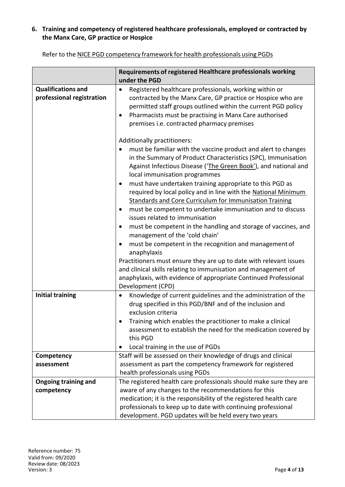# **6. Training and competency of registered healthcare professionals, employed or contracted by the Manx Care, GP practice or Hospice**

|                                                        | Requirements of registered Healthcare professionals working<br>under the PGD                                                                                                                                                                                                                             |
|--------------------------------------------------------|----------------------------------------------------------------------------------------------------------------------------------------------------------------------------------------------------------------------------------------------------------------------------------------------------------|
| <b>Qualifications and</b><br>professional registration | Registered healthcare professionals, working within or<br>٠<br>contracted by the Manx Care, GP practice or Hospice who are<br>permitted staff groups outlined within the current PGD policy<br>Pharmacists must be practising in Manx Care authorised<br>٠<br>premises i.e. contracted pharmacy premises |
|                                                        | Additionally practitioners:<br>must be familiar with the vaccine product and alert to changes<br>in the Summary of Product Characteristics (SPC), Immunisation<br>Against Infectious Disease ('The Green Book'), and national and<br>local immunisation programmes                                       |
|                                                        | must have undertaken training appropriate to this PGD as<br>٠<br>required by local policy and in line with the National Minimum<br><b>Standards and Core Curriculum for Immunisation Training</b><br>must be competent to undertake immunisation and to discuss<br>issues related to immunisation        |
|                                                        | must be competent in the handling and storage of vaccines, and<br>management of the 'cold chain'<br>must be competent in the recognition and management of<br>anaphylaxis                                                                                                                                |
|                                                        | Practitioners must ensure they are up to date with relevant issues<br>and clinical skills relating to immunisation and management of<br>anaphylaxis, with evidence of appropriate Continued Professional<br>Development (CPD)                                                                            |
| <b>Initial training</b>                                | Knowledge of current guidelines and the administration of the<br>٠<br>drug specified in this PGD/BNF and of the inclusion and<br>exclusion criteria                                                                                                                                                      |
|                                                        | Training which enables the practitioner to make a clinical<br>assessment to establish the need for the medication covered by<br>this PGD<br>Local training in the use of PGDs<br>٠                                                                                                                       |
| Competency                                             | Staff will be assessed on their knowledge of drugs and clinical                                                                                                                                                                                                                                          |
| assessment                                             | assessment as part the competency framework for registered                                                                                                                                                                                                                                               |
|                                                        | health professionals using PGDs                                                                                                                                                                                                                                                                          |
| <b>Ongoing training and</b>                            | The registered health care professionals should make sure they are                                                                                                                                                                                                                                       |
| competency                                             | aware of any changes to the recommendations for this<br>medication; it is the responsibility of the registered health care                                                                                                                                                                               |
|                                                        | professionals to keep up to date with continuing professional<br>development. PGD updates will be held every two years                                                                                                                                                                                   |

Refer to the NICE PGD competency framework for health professionals using PGDs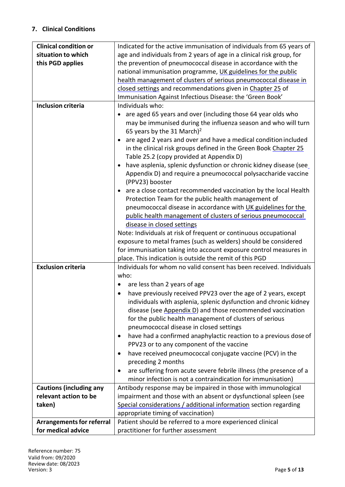# **7. Clinical Conditions**

| <b>Clinical condition or</b>     | Indicated for the active immunisation of individuals from 65 years of       |
|----------------------------------|-----------------------------------------------------------------------------|
| situation to which               | age and individuals from 2 years of age in a clinical risk group, for       |
| this PGD applies                 | the prevention of pneumococcal disease in accordance with the               |
|                                  | national immunisation programme, UK guidelines for the public               |
|                                  | health management of clusters of serious pneumococcal disease in            |
|                                  | closed settings and recommendations given in Chapter 25 of                  |
|                                  | Immunisation Against Infectious Disease: the 'Green Book'                   |
| <b>Inclusion criteria</b>        | Individuals who:                                                            |
|                                  | are aged 65 years and over (including those 64 year olds who                |
|                                  | may be immunised during the influenza season and who will turn              |
|                                  | 65 years by the 31 March) <sup>2</sup>                                      |
|                                  | are aged 2 years and over and have a medical condition included             |
|                                  | in the clinical risk groups defined in the Green Book Chapter 25            |
|                                  | Table 25.2 (copy provided at Appendix D)                                    |
|                                  | have asplenia, splenic dysfunction or chronic kidney disease (see           |
|                                  | Appendix D) and require a pneumococcal polysaccharide vaccine               |
|                                  | (PPV23) booster                                                             |
|                                  | are a close contact recommended vaccination by the local Health             |
|                                  | Protection Team for the public health management of                         |
|                                  | pneumococcal disease in accordance with UK guidelines for the               |
|                                  | public health management of clusters of serious pneumococcal                |
|                                  | disease in closed settings                                                  |
|                                  | Note: Individuals at risk of frequent or continuous occupational            |
|                                  | exposure to metal frames (such as welders) should be considered             |
|                                  |                                                                             |
|                                  | for immunisation taking into account exposure control measures in           |
|                                  | place. This indication is outside the remit of this PGD                     |
| <b>Exclusion criteria</b>        | Individuals for whom no valid consent has been received. Individuals        |
|                                  |                                                                             |
|                                  | who:                                                                        |
|                                  | are less than 2 years of age<br>$\bullet$                                   |
|                                  | have previously received PPV23 over the age of 2 years, except<br>$\bullet$ |
|                                  | individuals with asplenia, splenic dysfunction and chronic kidney           |
|                                  | disease (see Appendix D) and those recommended vaccination                  |
|                                  | for the public health management of clusters of serious                     |
|                                  | pneumococcal disease in closed settings                                     |
|                                  | have had a confirmed anaphylactic reaction to a previous dose of<br>٠       |
|                                  | PPV23 or to any component of the vaccine                                    |
|                                  | have received pneumococcal conjugate vaccine (PCV) in the<br>٠              |
|                                  | preceding 2 months                                                          |
|                                  | are suffering from acute severe febrile illness (the presence of a<br>٠     |
|                                  | minor infection is not a contraindication for immunisation)                 |
| <b>Cautions (including any</b>   | Antibody response may be impaired in those with immunological               |
| relevant action to be            | impairment and those with an absent or dysfunctional spleen (see            |
| taken)                           | Special considerations / additional information section regarding           |
|                                  | appropriate timing of vaccination)                                          |
| <b>Arrangements for referral</b> | Patient should be referred to a more experienced clinical                   |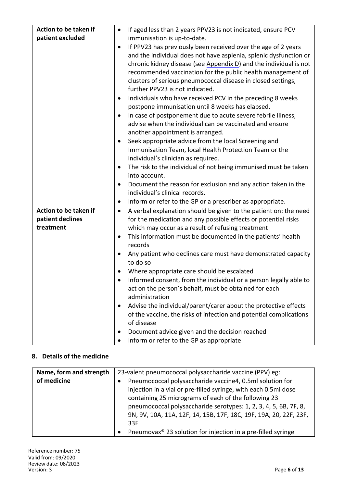| Action to be taken if         | If aged less than 2 years PPV23 is not indicated, ensure PCV                                    |
|-------------------------------|-------------------------------------------------------------------------------------------------|
| patient excluded              | immunisation is up-to-date.                                                                     |
|                               | If PPV23 has previously been received over the age of 2 years<br>$\bullet$                      |
|                               | and the individual does not have asplenia, splenic dysfunction or                               |
|                               | chronic kidney disease (see Appendix D) and the individual is not                               |
|                               | recommended vaccination for the public health management of                                     |
|                               | clusters of serious pneumococcal disease in closed settings,<br>further PPV23 is not indicated. |
|                               | Individuals who have received PCV in the preceding 8 weeks<br>$\bullet$                         |
|                               | postpone immunisation until 8 weeks has elapsed.                                                |
|                               | In case of postponement due to acute severe febrile illness,                                    |
|                               | advise when the individual can be vaccinated and ensure                                         |
|                               | another appointment is arranged.                                                                |
|                               | Seek appropriate advice from the local Screening and<br>$\bullet$                               |
|                               | Immunisation Team, local Health Protection Team or the                                          |
|                               | individual's clinician as required.                                                             |
|                               | The risk to the individual of not being immunised must be taken<br>$\bullet$                    |
|                               | into account.                                                                                   |
|                               | Document the reason for exclusion and any action taken in the<br>$\bullet$                      |
|                               | individual's clinical records.                                                                  |
|                               | Inform or refer to the GP or a prescriber as appropriate.<br>$\bullet$                          |
| Action to be taken if         | A verbal explanation should be given to the patient on: the need<br>$\bullet$                   |
| patient declines<br>treatment | for the medication and any possible effects or potential risks                                  |
|                               | which may occur as a result of refusing treatment                                               |
|                               | This information must be documented in the patients' health<br>$\bullet$<br>records             |
|                               | Any patient who declines care must have demonstrated capacity<br>to do so                       |
|                               | Where appropriate care should be escalated<br>٠                                                 |
|                               | Informed consent, from the individual or a person legally able to<br>$\bullet$                  |
|                               | act on the person's behalf, must be obtained for each                                           |
|                               | administration                                                                                  |
|                               | Advise the individual/parent/carer about the protective effects<br>٠                            |
|                               | of the vaccine, the risks of infection and potential complications                              |
|                               | of disease                                                                                      |
|                               | Document advice given and the decision reached<br>٠                                             |
|                               | Inform or refer to the GP as appropriate                                                        |

# **8. Details of the medicine**

| Name, form and strength | 23-valent pneumococcal polysaccharide vaccine (PPV) eg:                                                                                                                                                                                                 |
|-------------------------|---------------------------------------------------------------------------------------------------------------------------------------------------------------------------------------------------------------------------------------------------------|
| of medicine             | Pneumococcal polysaccharide vaccine4, 0.5ml solution for<br>injection in a vial or pre-filled syringe, with each 0.5ml dose<br>containing 25 micrograms of each of the following 23<br>pneumococcal polysaccharide serotypes: 1, 2, 3, 4, 5, 6B, 7F, 8, |
|                         | 9N, 9V, 10A, 11A, 12F, 14, 15B, 17F, 18C, 19F, 19A, 20, 22F, 23F,<br>33F<br>Pneumovax <sup>®</sup> 23 solution for injection in a pre-filled syringe<br>$\bullet$                                                                                       |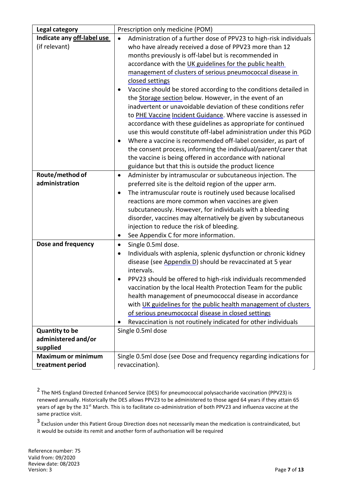| <b>Legal category</b>                                    | Prescription only medicine (POM)                                                                                                                                                                                                                                                                                                                                                                                                                                                                                                                                                                                                                                                                                                                                                                                                                                                                                                                                                                              |
|----------------------------------------------------------|---------------------------------------------------------------------------------------------------------------------------------------------------------------------------------------------------------------------------------------------------------------------------------------------------------------------------------------------------------------------------------------------------------------------------------------------------------------------------------------------------------------------------------------------------------------------------------------------------------------------------------------------------------------------------------------------------------------------------------------------------------------------------------------------------------------------------------------------------------------------------------------------------------------------------------------------------------------------------------------------------------------|
| Indicate any off-label use<br>(if relevant)              | Administration of a further dose of PPV23 to high-risk individuals<br>$\bullet$<br>who have already received a dose of PPV23 more than 12<br>months previously is off-label but is recommended in<br>accordance with the UK guidelines for the public health<br>management of clusters of serious pneumococcal disease in<br>closed settings<br>Vaccine should be stored according to the conditions detailed in<br>the Storage section below. However, in the event of an<br>inadvertent or unavoidable deviation of these conditions refer<br>to PHE Vaccine Incident Guidance. Where vaccine is assessed in<br>accordance with these guidelines as appropriate for continued<br>use this would constitute off-label administration under this PGD<br>Where a vaccine is recommended off-label consider, as part of<br>the consent process, informing the individual/parent/carer that<br>the vaccine is being offered in accordance with national<br>guidance but that this is outside the product licence |
| Route/method of<br>administration                        | Administer by intramuscular or subcutaneous injection. The<br>$\bullet$<br>preferred site is the deltoid region of the upper arm.<br>The intramuscular route is routinely used because localised<br>$\bullet$<br>reactions are more common when vaccines are given<br>subcutaneously. However, for individuals with a bleeding<br>disorder, vaccines may alternatively be given by subcutaneous<br>injection to reduce the risk of bleeding.<br>See Appendix C for more information.<br>٠                                                                                                                                                                                                                                                                                                                                                                                                                                                                                                                     |
| Dose and frequency                                       | Single 0.5ml dose.<br>$\bullet$<br>Individuals with asplenia, splenic dysfunction or chronic kidney<br>$\bullet$<br>disease (see Appendix D) should be revaccinated at 5 year<br>intervals.<br>PPV23 should be offered to high-risk individuals recommended<br>vaccination by the local Health Protection Team for the public<br>health management of pneumococcal disease in accordance<br>with UK guidelines for the public health management of clusters<br>of serious pneumococcal disease in closed settings<br>Revaccination is not routinely indicated for other individuals                                                                                                                                                                                                                                                                                                                                                                                                                           |
| <b>Quantity to be</b><br>administered and/or<br>supplied | Single 0.5ml dose                                                                                                                                                                                                                                                                                                                                                                                                                                                                                                                                                                                                                                                                                                                                                                                                                                                                                                                                                                                             |
| <b>Maximum or minimum</b><br>treatment period            | Single 0.5ml dose (see Dose and frequency regarding indications for<br>revaccination).                                                                                                                                                                                                                                                                                                                                                                                                                                                                                                                                                                                                                                                                                                                                                                                                                                                                                                                        |

<sup>&</sup>lt;sup>2</sup> The NHS England Directed Enhanced Service (DES) for pneumococcal polysaccharide vaccination (PPV23) is renewed annually. Historically the DES allows PPV23 to be administered to those aged 64 years if they attain 65 years of age by the 31<sup>st</sup> March. This is to facilitate co-administration of both PPV23 and influenza vaccine at the same practice visit.

3 Exclusion under this Patient Group Direction does not necessarily mean the medication is contraindicated, but it would be outside its remit and another form of authorisation will be required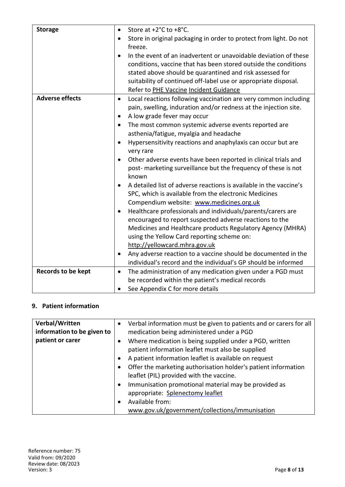| <b>Storage</b>            | $\bullet$ | Store at +2°C to +8°C.                                             |
|---------------------------|-----------|--------------------------------------------------------------------|
|                           |           | Store in original packaging in order to protect from light. Do not |
|                           |           | freeze.                                                            |
|                           |           | In the event of an inadvertent or unavoidable deviation of these   |
|                           |           | conditions, vaccine that has been stored outside the conditions    |
|                           |           | stated above should be quarantined and risk assessed for           |
|                           |           | suitability of continued off-label use or appropriate disposal.    |
|                           |           | Refer to PHE Vaccine Incident Guidance                             |
| <b>Adverse effects</b>    | $\bullet$ | Local reactions following vaccination are very common including    |
|                           |           | pain, swelling, induration and/or redness at the injection site.   |
|                           | $\bullet$ | A low grade fever may occur                                        |
|                           | $\bullet$ | The most common systemic adverse events reported are               |
|                           |           | asthenia/fatigue, myalgia and headache                             |
|                           | $\bullet$ | Hypersensitivity reactions and anaphylaxis can occur but are       |
|                           |           | very rare                                                          |
|                           | $\bullet$ | Other adverse events have been reported in clinical trials and     |
|                           |           | post- marketing surveillance but the frequency of these is not     |
|                           |           | known                                                              |
|                           |           | A detailed list of adverse reactions is available in the vaccine's |
|                           |           | SPC, which is available from the electronic Medicines              |
|                           |           | Compendium website: www.medicines.org.uk                           |
|                           |           | Healthcare professionals and individuals/parents/carers are        |
|                           |           | encouraged to report suspected adverse reactions to the            |
|                           |           | Medicines and Healthcare products Regulatory Agency (MHRA)         |
|                           |           | using the Yellow Card reporting scheme on:                         |
|                           |           | http://yellowcard.mhra.gov.uk                                      |
|                           | $\bullet$ | Any adverse reaction to a vaccine should be documented in the      |
|                           |           | individual's record and the individual's GP should be informed     |
| <b>Records to be kept</b> | $\bullet$ | The administration of any medication given under a PGD must        |
|                           |           | be recorded within the patient's medical records                   |
|                           | $\bullet$ | See Appendix C for more details                                    |

# **9. Patient information**

| Verbal/Written<br>information to be given to | ٠ | Verbal information must be given to patients and or carers for all<br>medication being administered under a PGD |
|----------------------------------------------|---|-----------------------------------------------------------------------------------------------------------------|
| patient or carer                             |   | Where medication is being supplied under a PGD, written<br>patient information leaflet must also be supplied    |
|                                              |   | A patient information leaflet is available on request                                                           |
|                                              |   | Offer the marketing authorisation holder's patient information                                                  |
|                                              |   | leaflet (PIL) provided with the vaccine.                                                                        |
|                                              |   | Immunisation promotional material may be provided as                                                            |
|                                              |   | appropriate: Splenectomy leaflet                                                                                |
|                                              |   | Available from:                                                                                                 |
|                                              |   | www.gov.uk/government/collections/immunisation                                                                  |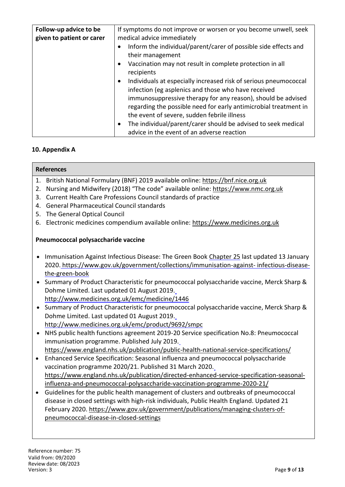| Follow-up advice to be    | If symptoms do not improve or worsen or you become unwell, seek            |  |
|---------------------------|----------------------------------------------------------------------------|--|
| given to patient or carer | medical advice immediately                                                 |  |
|                           | Inform the individual/parent/carer of possible side effects and            |  |
|                           | their management                                                           |  |
|                           | Vaccination may not result in complete protection in all                   |  |
|                           | recipients                                                                 |  |
|                           | Individuals at especially increased risk of serious pneumococcal           |  |
|                           | infection (eg asplenics and those who have received                        |  |
|                           | immunosuppressive therapy for any reason), should be advised               |  |
|                           | regarding the possible need for early antimicrobial treatment in           |  |
|                           | the event of severe, sudden febrile illness                                |  |
|                           | The individual/parent/carer should be advised to seek medical<br>$\bullet$ |  |
|                           | advice in the event of an adverse reaction                                 |  |

# **10. Appendix A**

#### **References**

- 1. British National Formulary (BNF) 2019 available online: https://bnf.nice.org.uk
- 2. Nursing and Midwifery (2018) "The code" available online: https://www.nmc.org.uk
- 3. Current Health Care Professions Council standards of practice
- 4. General Pharmaceutical Council standards
- 5. The General Optical Council
- 6. Electronic medicines compendium available online: https://www.medicines.org.uk

#### **Pneumococcal polysaccharide vaccine**

- Immunisation Against Infectious Disease: The Green Book Chapter [25](https://www.gov.uk/government/publications/pneumococcal-the-green-book-chapter-25) last updated 13 January 2020. https://www.gov.uk/government/collections/immunisation-against- infectious-diseasethe-green-book
- Summary of Product Characteristic for pneumococcal polysaccharide vaccine, Merck Sharp & Dohme Limited. Last updated 01 August 2019. http://www.medicines.org.uk/emc/medicine/1446
- Summary of Product Characteristic for pneumococcal polysaccharide vaccine, Merck Sharp & Dohme Limited. Last updated 01 August 2019. http://www.medicines.org.uk/emc/product/9692/smpc
- NHS public health functions agreement 2019-20 Service specification No.8: Pneumococcal immunisation programme. Published July 2019. https://www.england.nhs.uk/publication/public-health-national-service-specifications/
- Enhanced Service Specification: Seasonal influenza and pneumococcal polysaccharide vaccination programme 2020/21. Published 31 March 2020. https://www.england.nhs.uk/publication/directed-enhanced-service-specification-seasonalinfluenza-and-pneumococcal-polysaccharide-vaccination-programme-2020-21/
- Guidelines for the public health management of clusters and outbreaks of pneumococcal disease in closed settings with high-risk individuals, Public Health England. Updated 21 February 2020. https://www.gov.uk/government/publications/managing-clusters-ofpneumococcal-disease-in-closed-settings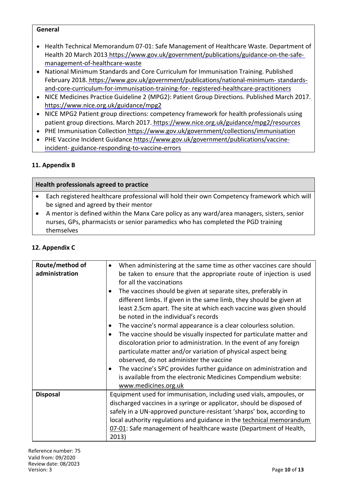#### **General**

- Health Technical Memorandum 07-01: Safe Management of Healthcare Waste. Department of Health 20 March 2013 https://www.gov.uk/government/publications/guidance-on-the-safemanagement-of-healthcare-waste
- National Minimum Standards and Core Curriculum for Immunisation Training. Published February 2018. https://www.gov.uk/government/publications/national-minimum- [standards](https://www.gov.uk/government/publications/national-minimum-standards-and-core-curriculum-for-immunisation-training-for-registered-healthcare-practitioners)[and-core-curriculum-for-immunisation-training-for-](https://www.gov.uk/government/publications/national-minimum-standards-and-core-curriculum-for-immunisation-training-for-registered-healthcare-practitioners) registered-healthcare-practitioners
- NICE Medicines Practice Guideline 2 (MPG2): Patient Group Directions. Published March 2017. https://www.nice.org.uk/guidance/mpg2
- NICE MPG2 Patient group directions: competency framework for health professionals using patient group directions. March 2017. https://www.nice.org.uk/guidance/mpg2/resources
- PHE Immunisation Collection https://www.gov.uk/government/collections/immunisation
- PHE Vaccine Incident Guidance https://www.gov.uk/government/publications/vaccineincident- guidance-responding-to-vaccine-errors

# **11. Appendix B**

# **Health professionals agreed to practice**

- Each registered healthcare professional will hold their own Competency framework which will be signed and agreed by their mentor
- A mentor is defined within the Manx Care policy as any ward/area managers, sisters, senior nurses, GPs, pharmacists or senior paramedics who has completed the PGD training themselves

#### **12. Appendix C**

| Route/method of<br>administration | When administering at the same time as other vaccines care should<br>$\bullet$<br>be taken to ensure that the appropriate route of injection is used<br>for all the vaccinations<br>The vaccines should be given at separate sites, preferably in<br>$\bullet$<br>different limbs. If given in the same limb, they should be given at<br>least 2.5cm apart. The site at which each vaccine was given should<br>be noted in the individual's records<br>The vaccine's normal appearance is a clear colourless solution.<br>The vaccine should be visually inspected for particulate matter and<br>$\bullet$<br>discoloration prior to administration. In the event of any foreign<br>particulate matter and/or variation of physical aspect being<br>observed, do not administer the vaccine<br>The vaccine's SPC provides further guidance on administration and<br>$\bullet$<br>is available from the electronic Medicines Compendium website:<br>www.medicines.org.uk |
|-----------------------------------|-------------------------------------------------------------------------------------------------------------------------------------------------------------------------------------------------------------------------------------------------------------------------------------------------------------------------------------------------------------------------------------------------------------------------------------------------------------------------------------------------------------------------------------------------------------------------------------------------------------------------------------------------------------------------------------------------------------------------------------------------------------------------------------------------------------------------------------------------------------------------------------------------------------------------------------------------------------------------|
| <b>Disposal</b>                   | Equipment used for immunisation, including used vials, ampoules, or<br>discharged vaccines in a syringe or applicator, should be disposed of<br>safely in a UN-approved puncture-resistant 'sharps' box, according to<br>local authority regulations and guidance in the technical memorandum<br>07-01: Safe management of healthcare waste (Department of Health,<br>2013)                                                                                                                                                                                                                                                                                                                                                                                                                                                                                                                                                                                             |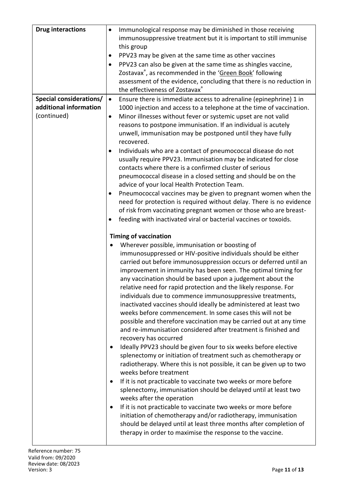| <b>Drug interactions</b>                                                | Immunological response may be diminished in those receiving<br>$\bullet$<br>immunosuppressive treatment but it is important to still immunise<br>this group<br>PPV23 may be given at the same time as other vaccines<br>PPV23 can also be given at the same time as shingles vaccine,<br>$\bullet$<br>Zostavax <sup>®</sup> , as recommended in the 'Green Book' following<br>assessment of the evidence, concluding that there is no reduction in<br>the effectiveness of Zostavax®                                                                                                                                                                                                                                                                                                                                                                                                                                                                                                                                                                                                                                                                                                                                                                                                                                                                                                                                                                                                                                                                                                                                                                                                                                                                                                     |
|-------------------------------------------------------------------------|------------------------------------------------------------------------------------------------------------------------------------------------------------------------------------------------------------------------------------------------------------------------------------------------------------------------------------------------------------------------------------------------------------------------------------------------------------------------------------------------------------------------------------------------------------------------------------------------------------------------------------------------------------------------------------------------------------------------------------------------------------------------------------------------------------------------------------------------------------------------------------------------------------------------------------------------------------------------------------------------------------------------------------------------------------------------------------------------------------------------------------------------------------------------------------------------------------------------------------------------------------------------------------------------------------------------------------------------------------------------------------------------------------------------------------------------------------------------------------------------------------------------------------------------------------------------------------------------------------------------------------------------------------------------------------------------------------------------------------------------------------------------------------------|
| <b>Special considerations/</b><br>additional information<br>(continued) | Ensure there is immediate access to adrenaline (epinephrine) 1 in<br>$\bullet$<br>1000 injection and access to a telephone at the time of vaccination.<br>Minor illnesses without fever or systemic upset are not valid<br>$\bullet$<br>reasons to postpone immunisation. If an individual is acutely<br>unwell, immunisation may be postponed until they have fully<br>recovered.<br>Individuals who are a contact of pneumococcal disease do not<br>$\bullet$<br>usually require PPV23. Immunisation may be indicated for close<br>contacts where there is a confirmed cluster of serious<br>pneumococcal disease in a closed setting and should be on the<br>advice of your local Health Protection Team.<br>Pneumococcal vaccines may be given to pregnant women when the<br>٠<br>need for protection is required without delay. There is no evidence<br>of risk from vaccinating pregnant women or those who are breast-<br>feeding with inactivated viral or bacterial vaccines or toxoids.<br><b>Timing of vaccination</b><br>Wherever possible, immunisation or boosting of<br>immunosuppressed or HIV-positive individuals should be either<br>carried out before immunosuppression occurs or deferred until an<br>improvement in immunity has been seen. The optimal timing for<br>any vaccination should be based upon a judgement about the<br>relative need for rapid protection and the likely response. For<br>individuals due to commence immunosuppressive treatments,<br>inactivated vaccines should ideally be administered at least two<br>weeks before commencement. In some cases this will not be<br>possible and therefore vaccination may be carried out at any time<br>and re-immunisation considered after treatment is finished and<br>recovery has occurred |
|                                                                         | Ideally PPV23 should be given four to six weeks before elective<br>splenectomy or initiation of treatment such as chemotherapy or<br>radiotherapy. Where this is not possible, it can be given up to two<br>weeks before treatment<br>If it is not practicable to vaccinate two weeks or more before<br>splenectomy, immunisation should be delayed until at least two<br>weeks after the operation<br>If it is not practicable to vaccinate two weeks or more before<br>$\bullet$<br>initiation of chemotherapy and/or radiotherapy, immunisation<br>should be delayed until at least three months after completion of<br>therapy in order to maximise the response to the vaccine.                                                                                                                                                                                                                                                                                                                                                                                                                                                                                                                                                                                                                                                                                                                                                                                                                                                                                                                                                                                                                                                                                                     |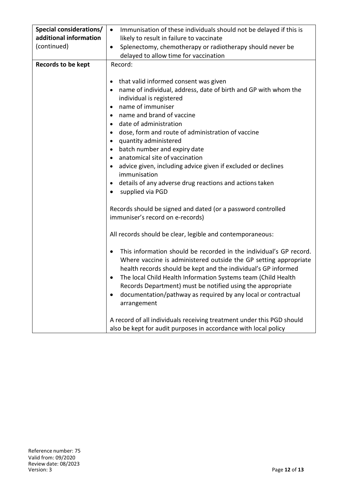| <b>Special considerations/</b><br>additional information<br>(continued) | Immunisation of these individuals should not be delayed if this is<br>$\bullet$<br>likely to result in failure to vaccinate<br>Splenectomy, chemotherapy or radiotherapy should never be<br>$\bullet$<br>delayed to allow time for vaccination                                                                                                                                                                                                                                                                                                            |  |
|-------------------------------------------------------------------------|-----------------------------------------------------------------------------------------------------------------------------------------------------------------------------------------------------------------------------------------------------------------------------------------------------------------------------------------------------------------------------------------------------------------------------------------------------------------------------------------------------------------------------------------------------------|--|
| <b>Records to be kept</b>                                               | Record:                                                                                                                                                                                                                                                                                                                                                                                                                                                                                                                                                   |  |
|                                                                         | that valid informed consent was given<br>name of individual, address, date of birth and GP with whom the<br>individual is registered<br>name of immuniser<br>name and brand of vaccine<br>date of administration<br>dose, form and route of administration of vaccine<br>$\bullet$<br>quantity administered<br>batch number and expiry date<br>$\bullet$<br>anatomical site of vaccination<br>advice given, including advice given if excluded or declines<br>immunisation<br>details of any adverse drug reactions and actions taken<br>supplied via PGD |  |
|                                                                         | Records should be signed and dated (or a password controlled<br>immuniser's record on e-records)<br>All records should be clear, legible and contemporaneous:                                                                                                                                                                                                                                                                                                                                                                                             |  |
|                                                                         |                                                                                                                                                                                                                                                                                                                                                                                                                                                                                                                                                           |  |
|                                                                         | This information should be recorded in the individual's GP record.<br>Where vaccine is administered outside the GP setting appropriate<br>health records should be kept and the individual's GP informed<br>The local Child Health Information Systems team (Child Health<br>Records Department) must be notified using the appropriate<br>documentation/pathway as required by any local or contractual<br>arrangement                                                                                                                                   |  |
|                                                                         | A record of all individuals receiving treatment under this PGD should<br>also be kept for audit purposes in accordance with local policy                                                                                                                                                                                                                                                                                                                                                                                                                  |  |